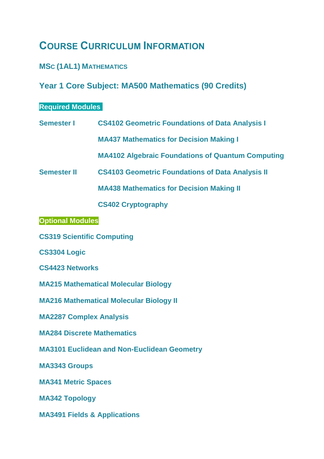# **COURSE CURRICULUM INFORMATION**

### **MSC (1AL1) MATHEMATICS**

## **Year 1 Core Subject: MA500 Mathematics (90 Credits)**

#### **Required Modules**

**Semester I [CS4102 Geometric Foundations of Data Analysis I](http://www.nuigalway.ie/course-information/module/CS4102)**

**MA437 Mathematics for Decision Making I**

**MA4102 Algebraic Foundations of Quantum Computing**

**Semester II [CS4103 Geometric Foundations of Data Analysis II](http://www.nuigalway.ie/course-information/module/CS4103)**

**MA438 Mathematics for Decision Making II**

**[CS402 Cryptography](http://www.nuigalway.ie/course-information/module/CS402)**

**Optional Modules**

**[CS319 Scientific Computing](http://www.nuigalway.ie/course-information/module/CS319)**

**[CS3304 Logic](http://www.nuigalway.ie/course-information/module/CS3304)**

**[CS4423 Networks](http://www.nuigalway.ie/course-information/module/CS4423)**

**[MA215 Mathematical Molecular Biology](http://www.nuigalway.ie/course-information/module/MA215)**

**[MA216 Mathematical Molecular Biology II](http://www.nuigalway.ie/course-information/module/MA216)**

**[MA2287 Complex Analysis](http://www.nuigalway.ie/course-information/module/MA2287)**

**[MA284 Discrete Mathematics](http://www.nuigalway.ie/course-information/module/MA284)** 

**[MA3101 Euclidean and Non-Euclidean Geometry](http://www.nuigalway.ie/course-information/module/MA3101)**

**[MA3343 Groups](http://www.nuigalway.ie/course-information/module/MA3343)**

**[MA341 Metric Spaces](http://www.nuigalway.ie/course-information/module/MA341)**

**[MA342 Topology](http://www.nuigalway.ie/course-information/module/MA342)**

**[MA3491 Fields & Applications](http://www.nuigalway.ie/course-information/module/MA3491)**